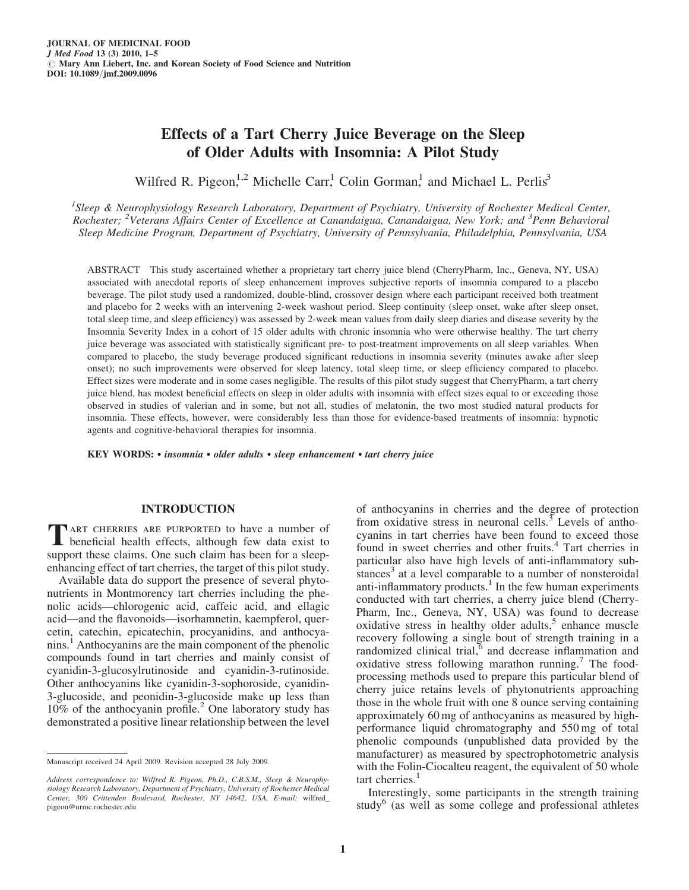# Effects of a Tart Cherry Juice Beverage on the Sleep of Older Adults with Insomnia: A Pilot Study

Wilfred R. Pigeon,<sup>1,2</sup> Michelle Carr,<sup>1</sup> Colin Gorman,<sup>1</sup> and Michael L. Perlis<sup>3</sup>

<sup>1</sup>Sleep & Neurophysiology Research Laboratory, Department of Psychiatry, University of Rochester Medical Center, Rochester; <sup>2</sup>Veterans Affairs Center of Excellence at Canandaigua, Canandaigua, New York; and <sup>3</sup>Penn Behavioral Sleep Medicine Program, Department of Psychiatry, University of Pennsylvania, Philadelphia, Pennsylvania, USA

ABSTRACT This study ascertained whether a proprietary tart cherry juice blend (CherryPharm, Inc., Geneva, NY, USA) associated with anecdotal reports of sleep enhancement improves subjective reports of insomnia compared to a placebo beverage. The pilot study used a randomized, double-blind, crossover design where each participant received both treatment and placebo for 2 weeks with an intervening 2-week washout period. Sleep continuity (sleep onset, wake after sleep onset, total sleep time, and sleep efficiency) was assessed by 2-week mean values from daily sleep diaries and disease severity by the Insomnia Severity Index in a cohort of 15 older adults with chronic insomnia who were otherwise healthy. The tart cherry juice beverage was associated with statistically significant pre- to post-treatment improvements on all sleep variables. When compared to placebo, the study beverage produced significant reductions in insomnia severity (minutes awake after sleep onset); no such improvements were observed for sleep latency, total sleep time, or sleep efficiency compared to placebo. Effect sizes were moderate and in some cases negligible. The results of this pilot study suggest that CherryPharm, a tart cherry juice blend, has modest beneficial effects on sleep in older adults with insomnia with effect sizes equal to or exceeding those observed in studies of valerian and in some, but not all, studies of melatonin, the two most studied natural products for insomnia. These effects, however, were considerably less than those for evidence-based treatments of insomnia: hypnotic agents and cognitive-behavioral therapies for insomnia.

KEY WORDS:  $\cdot$  insomnia  $\cdot$  older adults  $\cdot$  sleep enhancement  $\cdot$  tart cherry juice

# INTRODUCTION

TART CHERRIES ARE PURPORTED to have a number of beneficial health effects, although few data exist to support these claims. One such claim has been for a sleepenhancing effect of tart cherries, the target of this pilot study.

Available data do support the presence of several phytonutrients in Montmorency tart cherries including the phenolic acids—chlorogenic acid, caffeic acid, and ellagic acid—and the flavonoids—isorhamnetin, kaempferol, quercetin, catechin, epicatechin, procyanidins, and anthocyanins.1 Anthocyanins are the main component of the phenolic compounds found in tart cherries and mainly consist of cyanidin-3-glucosylrutinoside and cyanidin-3-rutinoside. Other anthocyanins like cyanidin-3-sophoroside, cyanidin-3-glucoside, and peonidin-3-glucoside make up less than  $10\%$  of the anthocyanin profile.<sup>2</sup> One laboratory study has demonstrated a positive linear relationship between the level of anthocyanins in cherries and the degree of protection from oxidative stress in neuronal cells. $\frac{3}{3}$  Levels of anthocyanins in tart cherries have been found to exceed those found in sweet cherries and other fruits.<sup>4</sup> Tart cherries in particular also have high levels of anti-inflammatory substances<sup>3</sup> at a level comparable to a number of nonsteroidal anti-inflammatory products.<sup>1</sup> In the few human experiments conducted with tart cherries, a cherry juice blend (Cherry-Pharm, Inc., Geneva, NY, USA) was found to decrease oxidative stress in healthy older adults, $5$  enhance muscle recovery following a single bout of strength training in a randomized clinical trial,<sup>6</sup> and decrease inflammation and oxidative stress following marathon running.<sup>7</sup> The foodprocessing methods used to prepare this particular blend of cherry juice retains levels of phytonutrients approaching those in the whole fruit with one 8 ounce serving containing approximately 60 mg of anthocyanins as measured by highperformance liquid chromatography and 550 mg of total phenolic compounds (unpublished data provided by the manufacturer) as measured by spectrophotometric analysis with the Folin-Ciocalteu reagent, the equivalent of 50 whole tart cherries.<sup>1</sup>

Interestingly, some participants in the strength training study<sup>6</sup> (as well as some college and professional athletes

Manuscript received 24 April 2009. Revision accepted 28 July 2009.

Address correspondence to: Wilfred R. Pigeon, Ph.D., C.B.S.M., Sleep & Neurophysiology Research Laboratory, Department of Psychiatry, University of Rochester Medical Center, 300 Crittenden Boulevard, Rochester, NY 14642, USA, E-mail: wilfred\_ pigeon@urmc.rochester.edu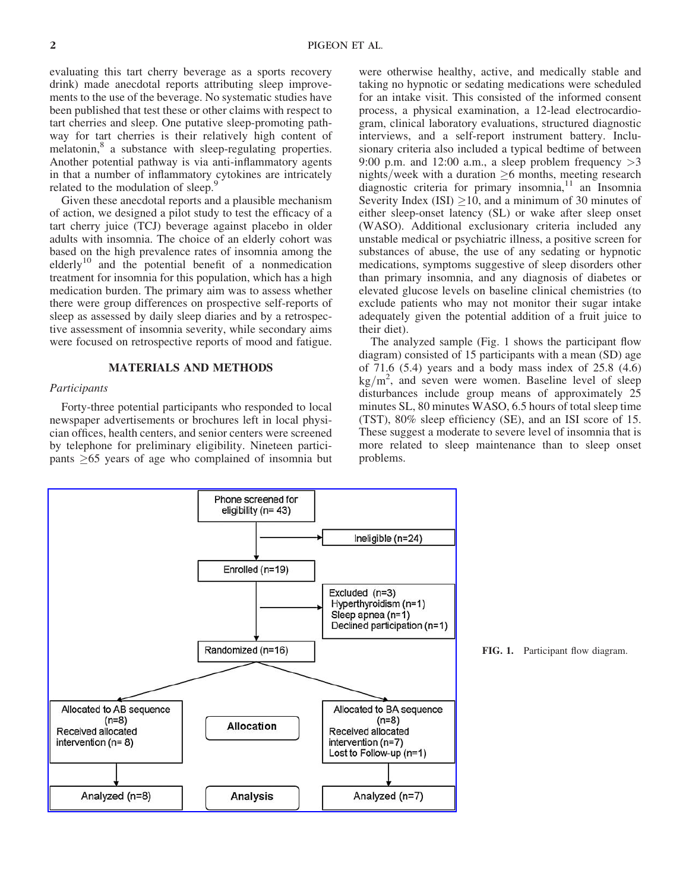evaluating this tart cherry beverage as a sports recovery drink) made anecdotal reports attributing sleep improvements to the use of the beverage. No systematic studies have been published that test these or other claims with respect to tart cherries and sleep. One putative sleep-promoting pathway for tart cherries is their relatively high content of melatonin,<sup>8</sup> a substance with sleep-regulating properties. Another potential pathway is via anti-inflammatory agents in that a number of inflammatory cytokines are intricately related to the modulation of sleep.

Given these anecdotal reports and a plausible mechanism of action, we designed a pilot study to test the efficacy of a tart cherry juice (TCJ) beverage against placebo in older adults with insomnia. The choice of an elderly cohort was based on the high prevalence rates of insomnia among the elderly<sup>10</sup> and the potential benefit of a nonmedication treatment for insomnia for this population, which has a high medication burden. The primary aim was to assess whether there were group differences on prospective self-reports of sleep as assessed by daily sleep diaries and by a retrospective assessment of insomnia severity, while secondary aims were focused on retrospective reports of mood and fatigue.

## MATERIALS AND METHODS

# Participants

Forty-three potential participants who responded to local newspaper advertisements or brochures left in local physician offices, health centers, and senior centers were screened by telephone for preliminary eligibility. Nineteen participants  $\geq 65$  years of age who complained of insomnia but

were otherwise healthy, active, and medically stable and taking no hypnotic or sedating medications were scheduled for an intake visit. This consisted of the informed consent process, a physical examination, a 12-lead electrocardiogram, clinical laboratory evaluations, structured diagnostic interviews, and a self-report instrument battery. Inclusionary criteria also included a typical bedtime of between 9:00 p.m. and 12:00 a.m., a sleep problem frequency  $>3$ nights/week with a duration  $\geq 6$  months, meeting research diagnostic criteria for primary insomnia, $11$  an Insomnia Severity Index (ISI)  $\geq$ 10, and a minimum of 30 minutes of either sleep-onset latency (SL) or wake after sleep onset (WASO). Additional exclusionary criteria included any unstable medical or psychiatric illness, a positive screen for substances of abuse, the use of any sedating or hypnotic medications, symptoms suggestive of sleep disorders other than primary insomnia, and any diagnosis of diabetes or elevated glucose levels on baseline clinical chemistries (to exclude patients who may not monitor their sugar intake adequately given the potential addition of a fruit juice to their diet).

The analyzed sample (Fig. 1 shows the participant flow diagram) consisted of 15 participants with a mean (SD) age of 71.6 (5.4) years and a body mass index of 25.8 (4.6)  $kg/m<sup>2</sup>$ , and seven were women. Baseline level of sleep disturbances include group means of approximately 25 minutes SL, 80 minutes WASO, 6.5 hours of total sleep time (TST), 80% sleep efficiency (SE), and an ISI score of 15. These suggest a moderate to severe level of insomnia that is more related to sleep maintenance than to sleep onset problems.



FIG. 1. Participant flow diagram.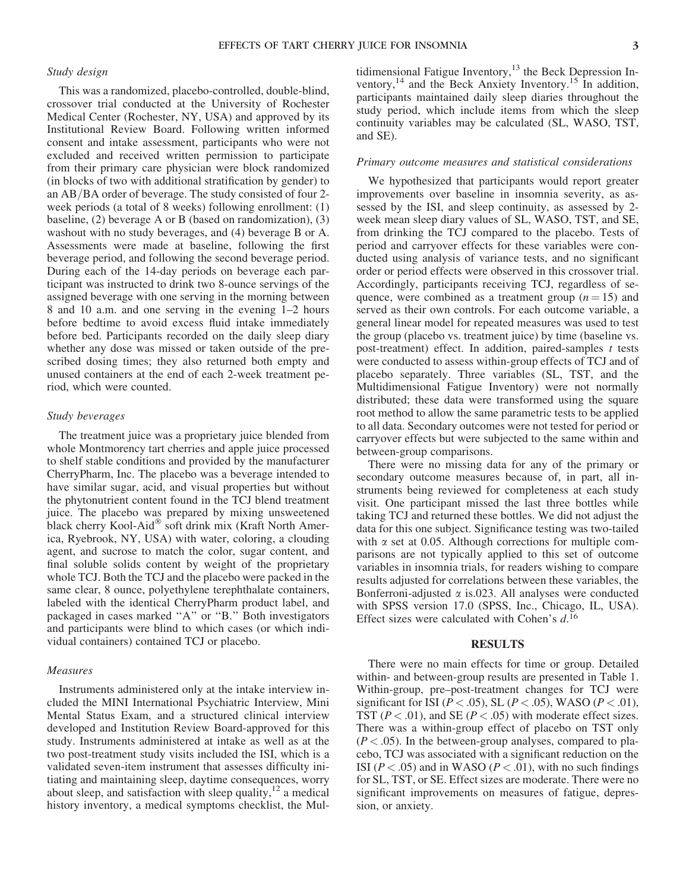# Study design

This was a randomized, placebo-controlled, double-blind, crossover trial conducted at the University of Rochester Medical Center (Rochester, NY, USA) and approved by its Institutional Review Board. Following written informed consent and intake assessment, participants who were not excluded and received written permission to participate from their primary care physician were block randomized (in blocks of two with additional stratification by gender) to an  $AB/BA$  order of beverage. The study consisted of four 2week periods (a total of 8 weeks) following enrollment: (1) baseline, (2) beverage A or B (based on randomization), (3) washout with no study beverages, and (4) beverage B or A. Assessments were made at baseline, following the first beverage period, and following the second beverage period. During each of the 14-day periods on beverage each participant was instructed to drink two 8-ounce servings of the assigned beverage with one serving in the morning between 8 and 10 a.m. and one serving in the evening 1–2 hours before bedtime to avoid excess fluid intake immediately before bed. Participants recorded on the daily sleep diary whether any dose was missed or taken outside of the prescribed dosing times; they also returned both empty and unused containers at the end of each 2-week treatment period, which were counted.

## Study beverages

The treatment juice was a proprietary juice blended from whole Montmorency tart cherries and apple juice processed to shelf stable conditions and provided by the manufacturer CherryPharm, Inc. The placebo was a beverage intended to have similar sugar, acid, and visual properties but without the phytonutrient content found in the TCJ blend treatment juice. The placebo was prepared by mixing unsweetened black cherry Kool-Aid® soft drink mix (Kraft North America, Ryebrook, NY, USA) with water, coloring, a clouding agent, and sucrose to match the color, sugar content, and final soluble solids content by weight of the proprietary whole TCJ. Both the TCJ and the placebo were packed in the same clear, 8 ounce, polyethylene terephthalate containers, labeled with the identical CherryPharm product label, and packaged in cases marked ''A'' or ''B.'' Both investigators and participants were blind to which cases (or which individual containers) contained TCJ or placebo.

# Measures

Instruments administered only at the intake interview included the MINI International Psychiatric Interview, Mini Mental Status Exam, and a structured clinical interview developed and Institution Review Board-approved for this study. Instruments administered at intake as well as at the two post-treatment study visits included the ISI, which is a validated seven-item instrument that assesses difficulty initiating and maintaining sleep, daytime consequences, worry about sleep, and satisfaction with sleep quality,  $^{12}$  a medical history inventory, a medical symptoms checklist, the Multidimensional Fatigue Inventory,<sup>13</sup> the Beck Depression Inventory,<sup>14</sup> and the Beck Anxiety Inventory.<sup>15</sup> In addition, participants maintained daily sleep diaries throughout the study period, which include items from which the sleep continuity variables may be calculated (SL, WASO, TST, and SE).

#### Primary outcome measures and statistical considerations

We hypothesized that participants would report greater improvements over baseline in insomnia severity, as assessed by the ISI, and sleep continuity, as assessed by 2 week mean sleep diary values of SL, WASO, TST, and SE, from drinking the TCJ compared to the placebo. Tests of period and carryover effects for these variables were conducted using analysis of variance tests, and no significant order or period effects were observed in this crossover trial. Accordingly, participants receiving TCJ, regardless of sequence, were combined as a treatment group  $(n = 15)$  and served as their own controls. For each outcome variable, a general linear model for repeated measures was used to test the group (placebo vs. treatment juice) by time (baseline vs. post-treatment) effect. In addition, paired-samples  $t$  tests were conducted to assess within-group effects of TCJ and of placebo separately. Three variables (SL, TST, and the Multidimensional Fatigue Inventory) were not normally distributed; these data were transformed using the square root method to allow the same parametric tests to be applied to all data. Secondary outcomes were not tested for period or carryover effects but were subjected to the same within and between-group comparisons.

There were no missing data for any of the primary or secondary outcome measures because of, in part, all instruments being reviewed for completeness at each study visit. One participant missed the last three bottles while taking TCJ and returned these bottles. We did not adjust the data for this one subject. Significance testing was two-tailed with  $\alpha$  set at 0.05. Although corrections for multiple comparisons are not typically applied to this set of outcome variables in insomnia trials, for readers wishing to compare results adjusted for correlations between these variables, the Bonferroni-adjusted  $\alpha$  is 023. All analyses were conducted with SPSS version 17.0 (SPSS, Inc., Chicago, IL, USA). Effect sizes were calculated with Cohen's  $d$ .<sup>16</sup>

## **RESULTS**

There were no main effects for time or group. Detailed within- and between-group results are presented in Table 1. Within-group, pre–post-treatment changes for TCJ were significant for ISI ( $P < .05$ ), SL ( $P < .05$ ), WASO ( $P < .01$ ), TST ( $P < .01$ ), and SE ( $P < .05$ ) with moderate effect sizes. There was a within-group effect of placebo on TST only  $(P < .05)$ . In the between-group analyses, compared to placebo, TCJ was associated with a significant reduction on the ISI ( $P < .05$ ) and in WASO ( $P < .01$ ), with no such findings for SL, TST, or SE. Effect sizes are moderate. There were no significant improvements on measures of fatigue, depression, or anxiety.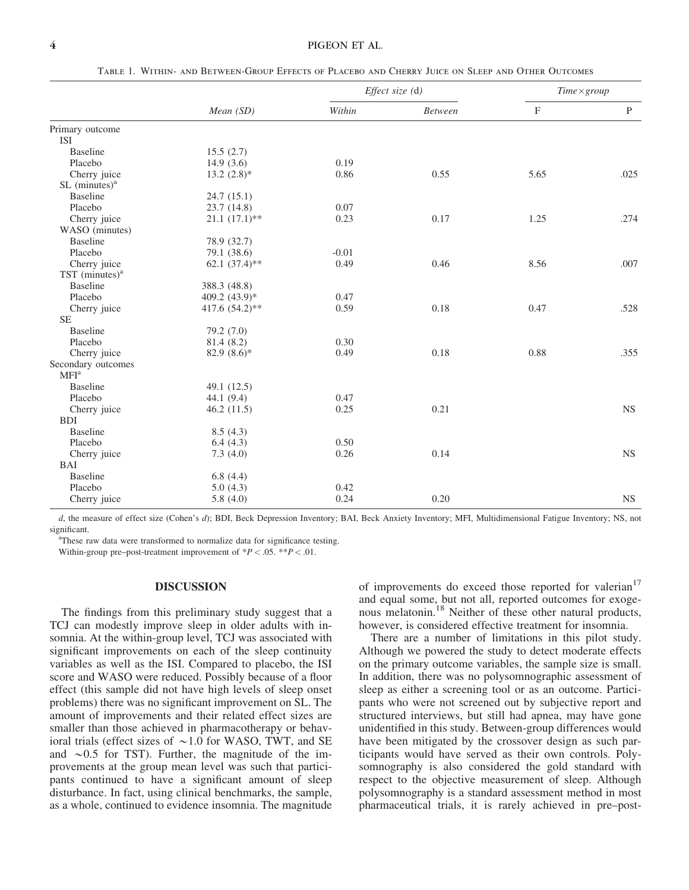#### 4 PIGEON ET AL.

|                              | Mean(SD)          | <i>Effect size</i> $(d)$ |                | $Time \times group$ |              |
|------------------------------|-------------------|--------------------------|----------------|---------------------|--------------|
|                              |                   | Within                   | <b>Between</b> | $\mathbf{F}$        | $\mathbf{P}$ |
| Primary outcome              |                   |                          |                |                     |              |
| <b>ISI</b>                   |                   |                          |                |                     |              |
| <b>Baseline</b>              | 15.5(2.7)         |                          |                |                     |              |
| Placebo                      | 14.9(3.6)         | 0.19                     |                |                     |              |
| Cherry juice                 | $13.2 (2.8)^*$    | 0.86                     | 0.55           | 5.65                | .025         |
| $SL$ (minutes) <sup>a</sup>  |                   |                          |                |                     |              |
| <b>Baseline</b>              | 24.7(15.1)        |                          |                |                     |              |
| Placebo                      | 23.7(14.8)        | 0.07                     |                |                     |              |
| Cherry juice                 | $21.1 (17.1)$ **  | 0.23                     | 0.17           | 1.25                | .274         |
| WASO (minutes)               |                   |                          |                |                     |              |
| <b>Baseline</b>              | 78.9 (32.7)       |                          |                |                     |              |
| Placebo                      | 79.1 (38.6)       | $-0.01$                  |                |                     |              |
| Cherry juice                 | 62.1 $(37.4)$ **  | 0.49                     | 0.46           | 8.56                | .007         |
| $TST$ (minutes) <sup>a</sup> |                   |                          |                |                     |              |
| <b>Baseline</b>              | 388.3 (48.8)      |                          |                |                     |              |
| Placebo                      | 409.2 $(43.9)*$   | 0.47                     |                |                     |              |
| Cherry juice                 | 417.6 $(54.2)$ ** | 0.59                     | 0.18           | 0.47                | .528         |
| <b>SE</b>                    |                   |                          |                |                     |              |
| <b>Baseline</b>              | 79.2 (7.0)        |                          |                |                     |              |
| Placebo                      | 81.4 (8.2)        | 0.30                     |                |                     |              |
| Cherry juice                 | 82.9 $(8.6)$ *    | 0.49                     | 0.18           | 0.88                | .355         |
| Secondary outcomes           |                   |                          |                |                     |              |
| MFI <sup>a</sup>             |                   |                          |                |                     |              |
| <b>Baseline</b>              | 49.1 (12.5)       |                          |                |                     |              |
| Placebo                      | 44.1 (9.4)        | 0.47                     |                |                     |              |
| Cherry juice                 | 46.2(11.5)        | 0.25                     | 0.21           |                     | <b>NS</b>    |
| <b>BDI</b>                   |                   |                          |                |                     |              |
| <b>Baseline</b>              | 8.5(4.3)          |                          |                |                     |              |
| Placebo                      | 6.4(4.3)          | 0.50                     |                |                     |              |
| Cherry juice                 | 7.3(4.0)          | 0.26                     | 0.14           |                     | <b>NS</b>    |
| BAI                          |                   |                          |                |                     |              |
| <b>Baseline</b>              | 6.8(4.4)          |                          |                |                     |              |
| Placebo                      | 5.0(4.3)          | 0.42                     |                |                     |              |
| Cherry juice                 | 5.8(4.0)          | 0.24                     | 0.20           |                     | <b>NS</b>    |

Table 1. Within- and Between-Group Effects of Placebo and Cherry Juice on Sleep and Other Outcomes

d, the measure of effect size (Cohen's d); BDI, Beck Depression Inventory; BAI, Beck Anxiety Inventory; MFI, Multidimensional Fatigue Inventory; NS, not significant.

<sup>a</sup>These raw data were transformed to normalize data for significance testing.

Within-group pre–post-treatment improvement of  $*P < .05$ .  $**P < .01$ .

## DISCUSSION

The findings from this preliminary study suggest that a TCJ can modestly improve sleep in older adults with insomnia. At the within-group level, TCJ was associated with significant improvements on each of the sleep continuity variables as well as the ISI. Compared to placebo, the ISI score and WASO were reduced. Possibly because of a floor effect (this sample did not have high levels of sleep onset problems) there was no significant improvement on SL. The amount of improvements and their related effect sizes are smaller than those achieved in pharmacotherapy or behavioral trials (effect sizes of  $\sim$ 1.0 for WASO, TWT, and SE and  $\sim 0.5$  for TST). Further, the magnitude of the improvements at the group mean level was such that participants continued to have a significant amount of sleep disturbance. In fact, using clinical benchmarks, the sample, as a whole, continued to evidence insomnia. The magnitude

of improvements do exceed those reported for valerian<sup>17</sup> and equal some, but not all, reported outcomes for exogenous melatonin.<sup>18</sup> Neither of these other natural products, however, is considered effective treatment for insomnia.

There are a number of limitations in this pilot study. Although we powered the study to detect moderate effects on the primary outcome variables, the sample size is small. In addition, there was no polysomnographic assessment of sleep as either a screening tool or as an outcome. Participants who were not screened out by subjective report and structured interviews, but still had apnea, may have gone unidentified in this study. Between-group differences would have been mitigated by the crossover design as such participants would have served as their own controls. Polysomnography is also considered the gold standard with respect to the objective measurement of sleep. Although polysomnography is a standard assessment method in most pharmaceutical trials, it is rarely achieved in pre–post